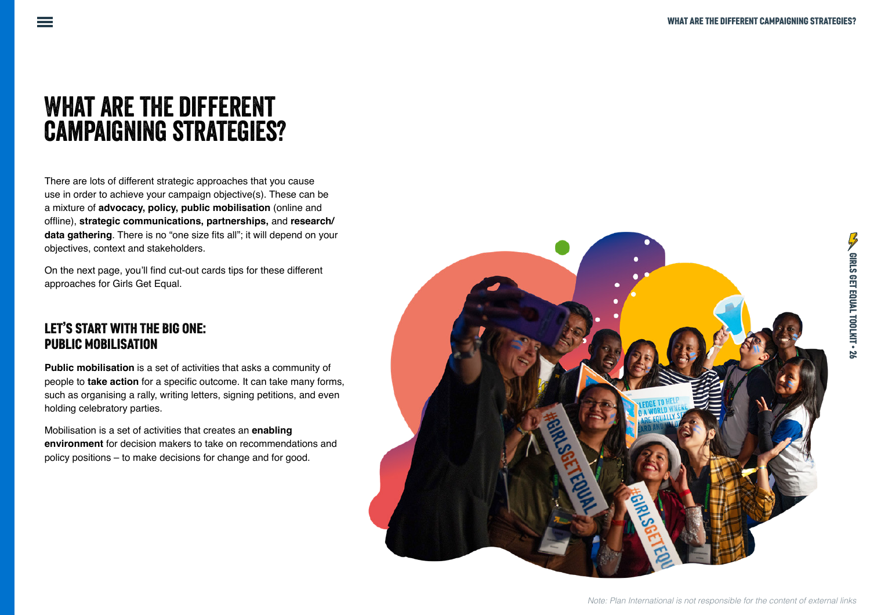# What are the different campaigning strategies?

There are lots of different strategic approaches that you cause use in order to achieve your campaign objective(s). These can be a mixture of **advocacy, policy, public mobilisation** (online and offline), **strategic communications, partnerships,** and **research/ data gathering**. There is no "one size fits all"; it will depend on your objectives, context and stakeholders.

On the next page, you'll find cut-out cards tips for these different approaches for Girls Get Equal.

#### LET'S START WITH THE BIG ONE: PUBLIC MOBILISATION

**Public mobilisation** is a set of activities that asks a community of people to **take action** for a specific outcome. It can take many forms, such as organising a rally, writing letters, signing petitions, and even holding celebratory parties.

Mobilisation is a set of activities that creates an **enabling environment** for decision makers to take on recommendations and policy positions – to make decisions for change and for good.

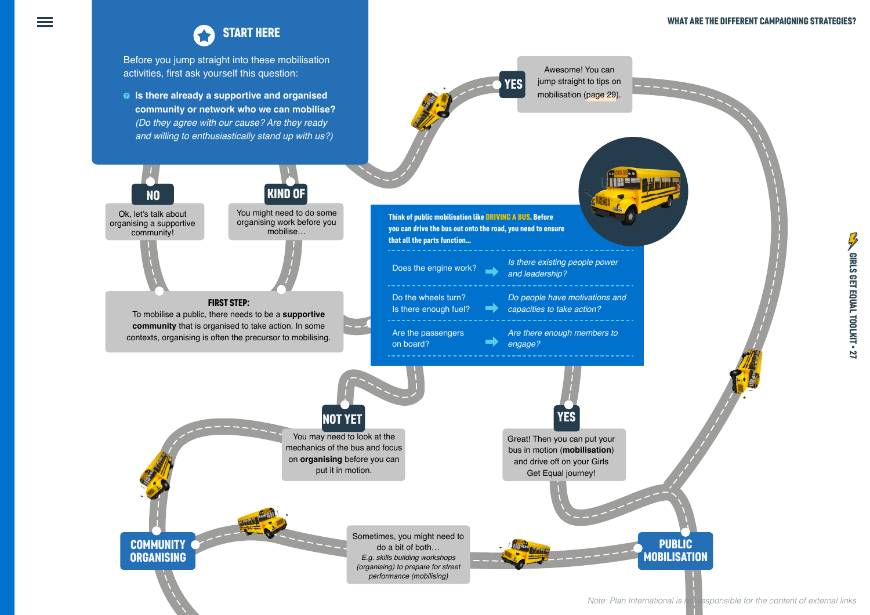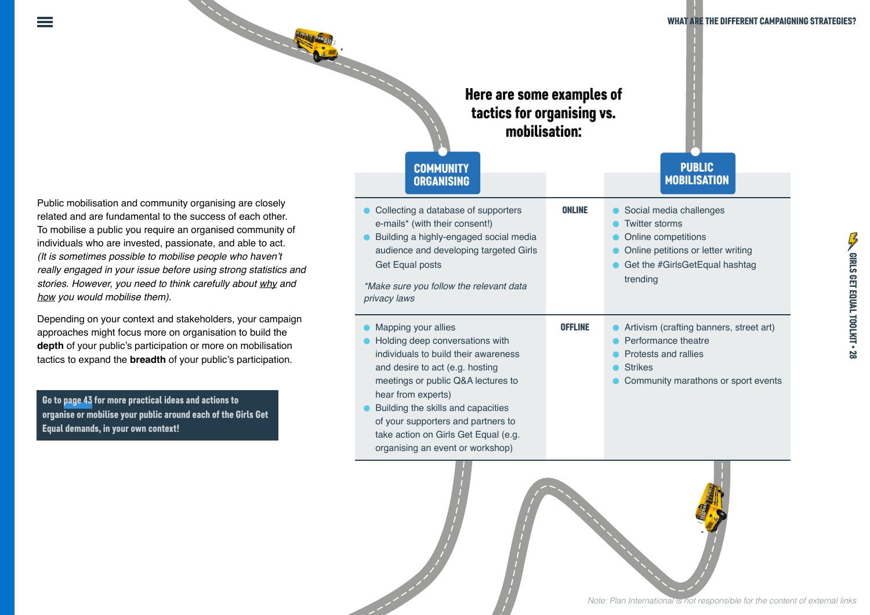Public mobilisation and community organising are closely related and are fundamental to the success of each other. To mobilise a public you require an organised community of individuals who are invested, passionate, and able to act. (It is sometimes possible to mobilise people who haven't *really engaged in your issue before using strong statistics and stories. However, you need to think carefully about why and how you would mobilise them)*.

Depending on your context and stakeholders, your campaign approaches might focus more on organisation to build the **depth** of your public's participation or more on mobilisation tactics to expand the **breadth** of your public's participation.

Go to page 43 for more practical ideas and actions to organise or mobilise your public around each of the Girls Get Equal demands, in your own context!

| <b>Contract of the Contract of the Contract of the Contract of the Contract of the Contract of The Contract of T</b>                                                                                  | Here are some examples of<br>tactics for organising vs.<br>mobilisation:<br><b>COMMUNITY</b><br><b>ORGANISING</b>                                                                                                                                                                                                                                     |                | <b>WHAT ARE THE DIFFERENT CAMPAIGN</b><br><b>PUBLIC</b><br><b>MOBILISATION</b>                                                                              |
|-------------------------------------------------------------------------------------------------------------------------------------------------------------------------------------------------------|-------------------------------------------------------------------------------------------------------------------------------------------------------------------------------------------------------------------------------------------------------------------------------------------------------------------------------------------------------|----------------|-------------------------------------------------------------------------------------------------------------------------------------------------------------|
| y organising are closely<br>e success of each other.<br>n organised community of<br>sionate, and able to act.<br>se people who haven't<br>e using strong statistics and<br>ik carefully about why and | • Collecting a database of supporters<br>e-mails* (with their consent!)<br>Building a highly-engaged social media<br>audience and developing targeted Girls<br>Get Equal posts<br>*Make sure you follow the relevant data<br>privacy laws                                                                                                             | <b>ONLINE</b>  | Social media challenges<br><b>Twitter storms</b><br>Online competitions<br>Online petitions or letter writing<br>Get the #GirlsGetEqual hashtag<br>trending |
| akeholders, your campaign<br>organisation to build the<br>n or more on mobilisation<br>our public's participation.<br>and actions to<br>d each of the Girls Get                                       | Mapping your allies<br>Holding deep conversations with<br>individuals to build their awareness<br>and desire to act (e.g. hosting<br>meetings or public Q&A lectures to<br>hear from experts)<br>Building the skills and capacities<br>of your supporters and partners to<br>take action on Girls Get Equal (e.g.<br>organising an event or workshop) | <b>OFFLINE</b> | Artivism (crafting banners, street art)<br>Performance theatre<br>Protests and rallies<br><b>Strikes</b><br>Community marathons or sport events             |
|                                                                                                                                                                                                       |                                                                                                                                                                                                                                                                                                                                                       |                |                                                                                                                                                             |

*Note: Plan International is not responsible for the content of external links*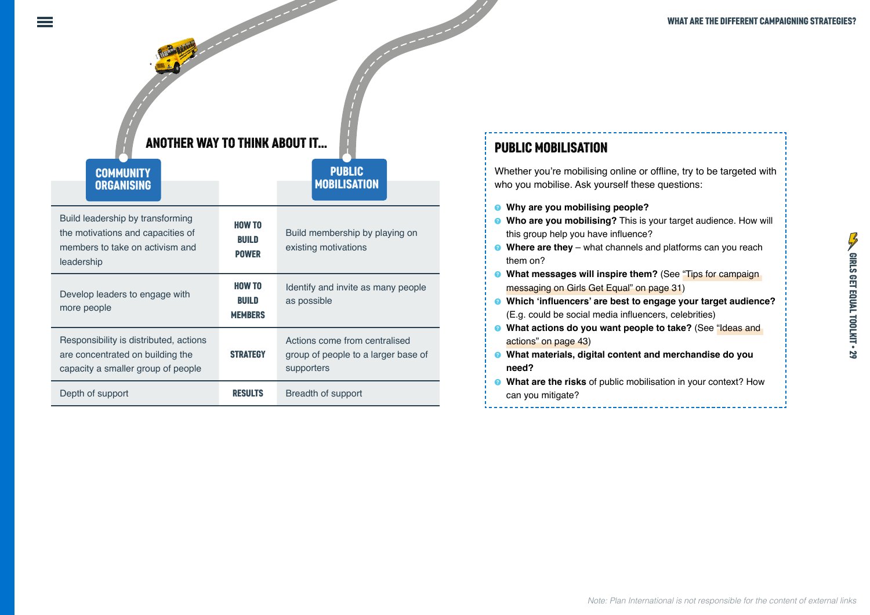### ANOTHER WAY TO THINK ABOUT IT... **PUBLIC MOBILISATION**

PUBLIC **MOBILISATION** 

#### ORGANISING MOBILISING **COMMUNITY** ORGANISING

| Build leadership by transforming<br>the motivations and capacities of<br>members to take on activism and<br>leadership | HOW TO<br>BUILD<br><b>POWER</b>   | Build membership by playing on<br>existing motivations                             |  |
|------------------------------------------------------------------------------------------------------------------------|-----------------------------------|------------------------------------------------------------------------------------|--|
| Develop leaders to engage with<br>more people                                                                          | HOW TO<br>BUILD<br><b>MEMBERS</b> | Identify and invite as many people<br>as possible                                  |  |
| Responsibility is distributed, actions<br>are concentrated on building the<br>capacity a smaller group of people       | <b>STRATEGY</b>                   | Actions come from centralised<br>group of people to a larger base of<br>supporters |  |
| Depth of support                                                                                                       | <b>RESULTS</b>                    | Breadth of support                                                                 |  |

Whether you're mobilising online or offline, try to be targeted with who you mobilise. Ask yourself these questions:

- **8** Why are you mobilising people?
- **8** Who are you mobilising? This is your target audience. How will this group help you have influence?
- **B** Where are they what channels and platforms can you reach them on?
- **8** What messages will inspire them? (See "Tips for campaign messaging on Girls Get Equal" on page 31)
- **8** Which 'influencers' are best to engage your target audience? (E.g. could be social media influencers, celebrities)
- **8** What actions do you want people to take? (See "Ideas and actions" on page 43)
- **8** What materials, digital content and merchandise do you **need?**
- **8** What are the risks of public mobilisation in your context? How can you mitigate?